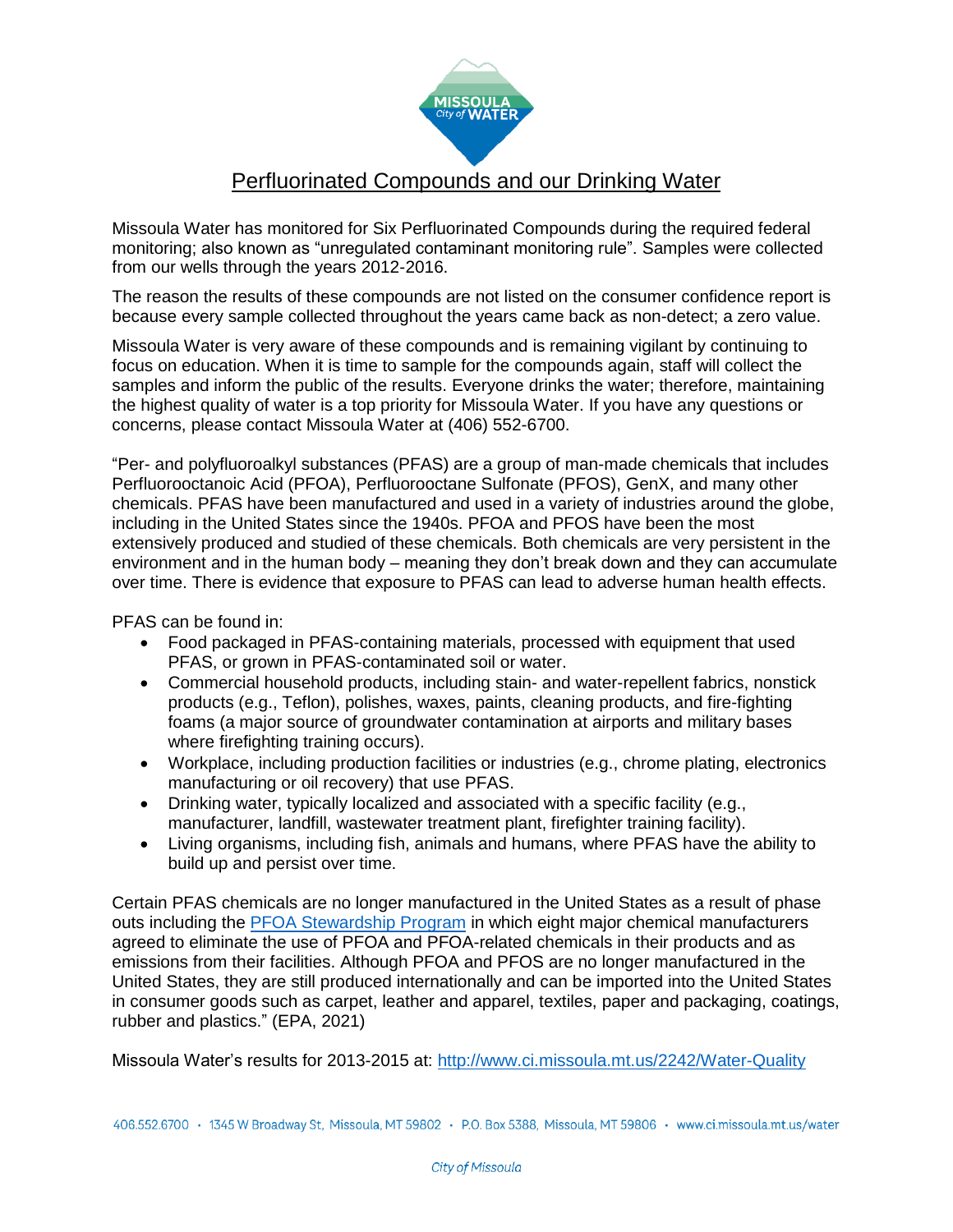

## Perfluorinated Compounds and our Drinking Water

Missoula Water has monitored for Six Perfluorinated Compounds during the required federal monitoring; also known as "unregulated contaminant monitoring rule". Samples were collected from our wells through the years 2012-2016.

The reason the results of these compounds are not listed on the consumer confidence report is because every sample collected throughout the years came back as non-detect; a zero value.

Missoula Water is very aware of these compounds and is remaining vigilant by continuing to focus on education. When it is time to sample for the compounds again, staff will collect the samples and inform the public of the results. Everyone drinks the water; therefore, maintaining the highest quality of water is a top priority for Missoula Water. If you have any questions or concerns, please contact Missoula Water at (406) 552-6700.

"Per- and polyfluoroalkyl substances (PFAS) are a group of man-made chemicals that includes Perfluorooctanoic Acid (PFOA), Perfluorooctane Sulfonate (PFOS), GenX, and many other chemicals. PFAS have been manufactured and used in a variety of industries around the globe, including in the United States since the 1940s. PFOA and PFOS have been the most extensively produced and studied of these chemicals. Both chemicals are very persistent in the environment and in the human body – meaning they don't break down and they can accumulate over time. There is evidence that exposure to PFAS can lead to adverse human health effects.

PFAS can be found in:

- Food packaged in PFAS-containing materials, processed with equipment that used PFAS, or grown in PFAS-contaminated soil or water.
- Commercial household products, including stain- and water-repellent fabrics, nonstick products (e.g., Teflon), polishes, waxes, paints, cleaning products, and fire-fighting foams (a major source of groundwater contamination at airports and military bases where firefighting training occurs).
- Workplace, including production facilities or industries (e.g., chrome plating, electronics manufacturing or oil recovery) that use PFAS.
- Drinking water, typically localized and associated with a specific facility (e.g., manufacturer, landfill, wastewater treatment plant, firefighter training facility).
- Living organisms, including fish, animals and humans, where PFAS have the ability to build up and persist over time.

Certain PFAS chemicals are no longer manufactured in the United States as a result of phase outs including the [PFOA Stewardship Program](https://www.epa.gov/assessing-and-managing-chemicals-under-tsca/risk-management-and-polyfluoroalkyl-substances-pfas#tab-3) in which eight major chemical manufacturers agreed to eliminate the use of PFOA and PFOA-related chemicals in their products and as emissions from their facilities. Although PFOA and PFOS are no longer manufactured in the United States, they are still produced internationally and can be imported into the United States in consumer goods such as carpet, leather and apparel, textiles, paper and packaging, coatings, rubber and plastics." (EPA, 2021)

Missoula Water's results for 2013-2015 at: <http://www.ci.missoula.mt.us/2242/Water-Quality>